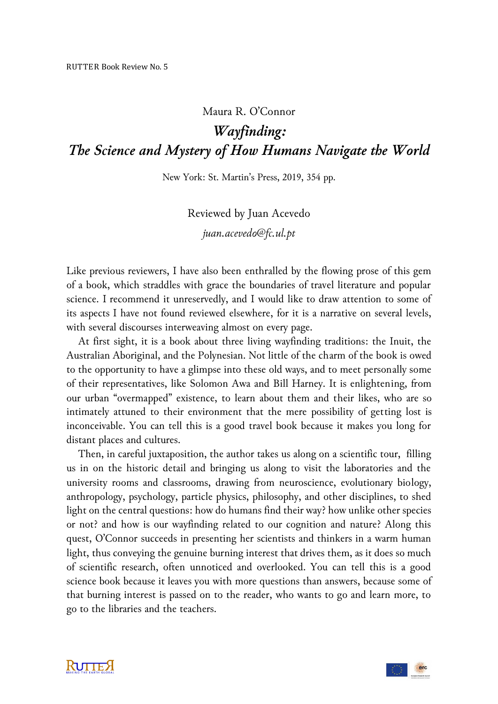## Maura R. O'Connor

*Wayfinding: The Science and Mystery of How Humans Navigate the World*

New York: St. Martin's Press, 2019, 354 pp.

Reviewed by Juan Acevedo

*juan.acevedo@fc.ul.pt*

Like previous reviewers, I have also been enthralled by the flowing prose of this gem of a book, which straddles with grace the boundaries of travel literature and popular science. I recommend it unreservedly, and I would like to draw attention to some of its aspects I have not found reviewed elsewhere, for it is a narrative on several levels, with several discourses interweaving almost on every page.

At first sight, it is a book about three living wayfinding traditions: the Inuit, the Australian Aboriginal, and the Polynesian. Not little of the charm of the book is owed to the opportunity to have a glimpse into these old ways, and to meet personally some of their representatives, like Solomon Awa and Bill Harney. It is enlightening, from our urban "overmapped" existence, to learn about them and their likes, who are so intimately attuned to their environment that the mere possibility of getting lost is inconceivable. You can tell this is a good travel book because it makes you long for distant places and cultures.

Then, in careful juxtaposition, the author takes us along on a scientific tour, filling us in on the historic detail and bringing us along to visit the laboratories and the university rooms and classrooms, drawing from neuroscience, evolutionary biology, anthropology, psychology, particle physics, philosophy, and other disciplines, to shed light on the central questions: how do humans find their way? how unlike other species or not? and how is our wayfinding related to our cognition and nature? Along this quest, O'Connor succeeds in presenting her scientists and thinkers in a warm human light, thus conveying the genuine burning interest that drives them, as it does so much of scientific research, often unnoticed and overlooked. You can tell this is a good science book because it leaves you with more questions than answers, because some of that burning interest is passed on to the reader, who wants to go and learn more, to go to the libraries and the teachers.